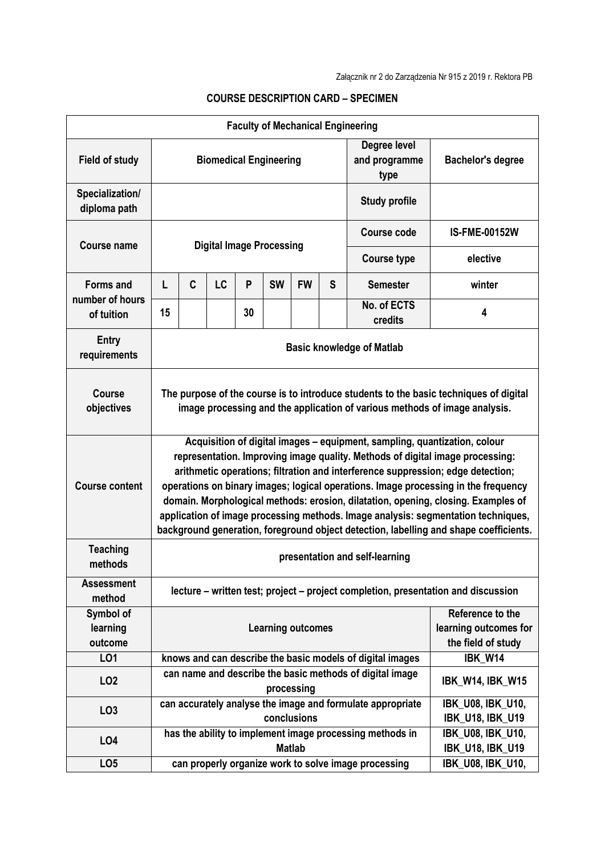| <b>Faculty of Mechanical Engineering</b> |                                                                                                                                                                                                                                                                                                                                                                                                                                                                                                                                                                                                        |                                                                        |           |    |               |           |                                                                 |                                                          |                                                     |  |  |
|------------------------------------------|--------------------------------------------------------------------------------------------------------------------------------------------------------------------------------------------------------------------------------------------------------------------------------------------------------------------------------------------------------------------------------------------------------------------------------------------------------------------------------------------------------------------------------------------------------------------------------------------------------|------------------------------------------------------------------------|-----------|----|---------------|-----------|-----------------------------------------------------------------|----------------------------------------------------------|-----------------------------------------------------|--|--|
| <b>Field of study</b>                    | <b>Biomedical Engineering</b>                                                                                                                                                                                                                                                                                                                                                                                                                                                                                                                                                                          |                                                                        |           |    |               |           |                                                                 | Degree level<br>and programme<br>type                    | <b>Bachelor's degree</b>                            |  |  |
| Specialization/<br>diploma path          | <b>Study profile</b>                                                                                                                                                                                                                                                                                                                                                                                                                                                                                                                                                                                   |                                                                        |           |    |               |           |                                                                 |                                                          |                                                     |  |  |
| <b>Course name</b>                       | <b>Digital Image Processing</b>                                                                                                                                                                                                                                                                                                                                                                                                                                                                                                                                                                        |                                                                        |           |    |               |           |                                                                 | <b>Course code</b>                                       | <b>IS-FME-00152W</b>                                |  |  |
|                                          |                                                                                                                                                                                                                                                                                                                                                                                                                                                                                                                                                                                                        |                                                                        |           |    |               |           |                                                                 | <b>Course type</b>                                       | elective                                            |  |  |
| <b>Forms and</b>                         | L                                                                                                                                                                                                                                                                                                                                                                                                                                                                                                                                                                                                      | C                                                                      | <b>LC</b> | P  | <b>SW</b>     | <b>FW</b> | S                                                               | <b>Semester</b>                                          | winter                                              |  |  |
| number of hours<br>of tuition            | 15                                                                                                                                                                                                                                                                                                                                                                                                                                                                                                                                                                                                     |                                                                        |           | 30 |               |           |                                                                 | No. of ECTS<br>credits                                   | 4                                                   |  |  |
| <b>Entry</b><br>requirements             | <b>Basic knowledge of Matlab</b>                                                                                                                                                                                                                                                                                                                                                                                                                                                                                                                                                                       |                                                                        |           |    |               |           |                                                                 |                                                          |                                                     |  |  |
| <b>Course</b><br>objectives              | The purpose of the course is to introduce students to the basic techniques of digital<br>image processing and the application of various methods of image analysis.                                                                                                                                                                                                                                                                                                                                                                                                                                    |                                                                        |           |    |               |           |                                                                 |                                                          |                                                     |  |  |
| <b>Course content</b>                    | Acquisition of digital images - equipment, sampling, quantization, colour<br>representation. Improving image quality. Methods of digital image processing:<br>arithmetic operations; filtration and interference suppression; edge detection;<br>operations on binary images; logical operations. Image processing in the frequency<br>domain. Morphological methods: erosion, dilatation, opening, closing. Examples of<br>application of image processing methods. Image analysis: segmentation techniques,<br>background generation, foreground object detection, labelling and shape coefficients. |                                                                        |           |    |               |           |                                                                 |                                                          |                                                     |  |  |
| <b>Teaching</b><br>methods               | presentation and self-learning                                                                                                                                                                                                                                                                                                                                                                                                                                                                                                                                                                         |                                                                        |           |    |               |           |                                                                 |                                                          |                                                     |  |  |
| <b>Assessment</b><br>method              | lecture – written test; project – project completion, presentation and discussion                                                                                                                                                                                                                                                                                                                                                                                                                                                                                                                      |                                                                        |           |    |               |           |                                                                 |                                                          |                                                     |  |  |
| Symbol of<br>learning<br>outcome         | <b>Learning outcomes</b>                                                                                                                                                                                                                                                                                                                                                                                                                                                                                                                                                                               |                                                                        |           |    |               |           | Reference to the<br>learning outcomes for<br>the field of study |                                                          |                                                     |  |  |
| LO1                                      | knows and can describe the basic models of digital images                                                                                                                                                                                                                                                                                                                                                                                                                                                                                                                                              |                                                                        |           |    |               |           |                                                                 | IBK W14                                                  |                                                     |  |  |
| LO <sub>2</sub>                          |                                                                                                                                                                                                                                                                                                                                                                                                                                                                                                                                                                                                        | can name and describe the basic methods of digital image<br>processing |           |    |               |           | <b>IBK_W14, IBK_W15</b>                                         |                                                          |                                                     |  |  |
| LO <sub>3</sub>                          | can accurately analyse the image and formulate appropriate<br>conclusions                                                                                                                                                                                                                                                                                                                                                                                                                                                                                                                              |                                                                        |           |    |               |           |                                                                 | <b>IBK_U08, IBK_U10,</b><br><b>IBK_U18, IBK_U19</b>      |                                                     |  |  |
| LO <sub>4</sub>                          |                                                                                                                                                                                                                                                                                                                                                                                                                                                                                                                                                                                                        |                                                                        |           |    | <b>Matlab</b> |           |                                                                 | has the ability to implement image processing methods in | <b>IBK U08, IBK_U10,</b><br><b>IBK_U18, IBK_U19</b> |  |  |
| LO <sub>5</sub>                          |                                                                                                                                                                                                                                                                                                                                                                                                                                                                                                                                                                                                        |                                                                        |           |    |               |           |                                                                 | can properly organize work to solve image processing     | <b>IBK_U08, IBK_U10,</b>                            |  |  |

## **COURSE DESCRIPTION CARD – SPECIMEN**